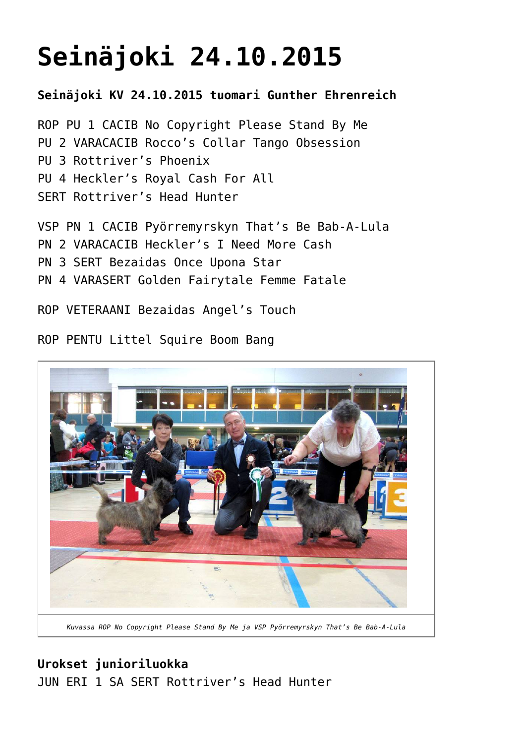# **[Seinäjoki 24.10.2015](https://www.cairnterrierikerho.fi/nayttelyt/seinajoki-24-10-2015/)**

**Seinäjoki KV 24.10.2015 tuomari Gunther Ehrenreich**

ROP PU 1 CACIB No Copyright Please Stand By Me PU 2 VARACACIB Rocco's Collar Tango Obsession PU 3 Rottriver's Phoenix PU 4 Heckler's Royal Cash For All SERT Rottriver's Head Hunter

VSP PN 1 CACIB Pyörremyrskyn That's Be Bab-A-Lula PN 2 VARACACIB Heckler's I Need More Cash PN 3 SERT Bezaidas Once Upona Star PN 4 VARASERT Golden Fairytale Femme Fatale

ROP VETERAANI Bezaidas Angel's Touch

ROP PENTU Littel Squire Boom Bang



*Kuvassa ROP No Copyright Please Stand By Me ja VSP Pyörremyrskyn That's Be Bab-A-Lula*

# **Urokset junioriluokka** JUN ERI 1 SA SERT Rottriver's Head Hunter